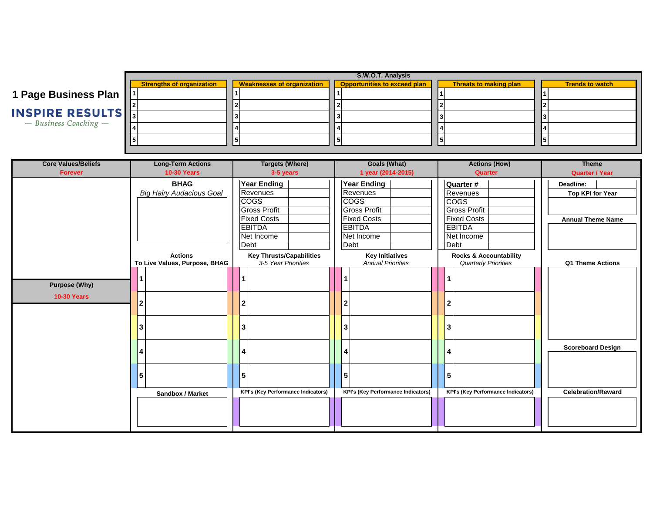|                           | S.W.O.T. Analysis                |                                   |                                     |                        |                        |  |  |
|---------------------------|----------------------------------|-----------------------------------|-------------------------------------|------------------------|------------------------|--|--|
|                           | <b>Strengths of organization</b> | <b>Weaknesses of organization</b> | <b>Opportunities to exceed plan</b> | Threats to making plan | <b>Trends to watch</b> |  |  |
| 1 Page Business Plan  1   |                                  |                                   |                                     |                        |                        |  |  |
|                           |                                  |                                   |                                     |                        |                        |  |  |
| <b>INSPIRE RESULTS</b>    |                                  |                                   |                                     |                        |                        |  |  |
| $-$ Business Coaching $-$ |                                  |                                   |                                     |                        |                        |  |  |
|                           |                                  |                                   |                                     |                        |                        |  |  |

| <b>Core Values/Beliefs</b>                 | <b>Long-Term Actions</b>                        | <b>Targets (Where)</b>                                                                                                            | <b>Goals (What)</b>                                                                                                               | <b>Actions (How)</b>                                                                                                     | <b>Theme</b>                                                     |
|--------------------------------------------|-------------------------------------------------|-----------------------------------------------------------------------------------------------------------------------------------|-----------------------------------------------------------------------------------------------------------------------------------|--------------------------------------------------------------------------------------------------------------------------|------------------------------------------------------------------|
| <b>Forever</b>                             | <b>10-30 Years</b>                              | 3-5 years                                                                                                                         | 1 year (2014-2015)                                                                                                                | Quarter                                                                                                                  | <b>Quarter / Year</b>                                            |
|                                            | <b>BHAG</b><br><b>Big Hairy Audacious Goal</b>  | <b>Year Ending</b><br>Revenues<br><b>COGS</b><br><b>Gross Profit</b><br><b>Fixed Costs</b><br><b>EBITDA</b><br>Net Income<br>Debt | <b>Year Ending</b><br>Revenues<br><b>COGS</b><br><b>Gross Profit</b><br><b>Fixed Costs</b><br><b>EBITDA</b><br>Net Income<br>Debt | Quarter #<br>Revenues<br><b>COGS</b><br><b>Gross Profit</b><br><b>Fixed Costs</b><br><b>EBITDA</b><br>Net Income<br>Debt | Deadline:<br><b>Top KPI for Year</b><br><b>Annual Theme Name</b> |
|                                            | <b>Actions</b><br>To Live Values, Purpose, BHAG | <b>Key Thrusts/Capabilities</b><br>3-5 Year Priorities                                                                            | <b>Key Initiatives</b><br><b>Annual Priorities</b>                                                                                | <b>Rocks &amp; Accountability</b><br><b>Quarterly Priorities</b>                                                         | Q1 Theme Actions                                                 |
| <b>Purpose (Why)</b><br><b>10-30 Years</b> |                                                 | 2<br>3                                                                                                                            |                                                                                                                                   | 2<br>3                                                                                                                   |                                                                  |
|                                            |                                                 | 5                                                                                                                                 | 5                                                                                                                                 | 4<br>5                                                                                                                   | <b>Scoreboard Design</b>                                         |
|                                            | Sandbox / Market                                | <b>KPI's (Key Performance Indicators)</b>                                                                                         | <b>KPI's (Key Performance Indicators)</b>                                                                                         | <b>KPI's (Key Performance Indicators)</b>                                                                                | <b>Celebration/Reward</b>                                        |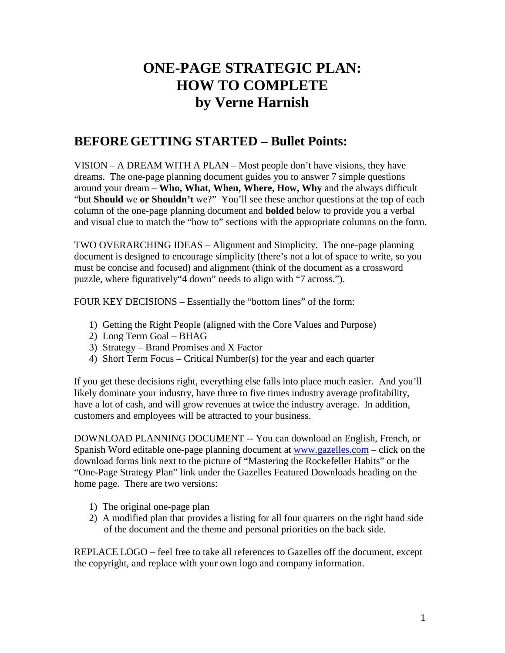# **ONE-PAGE STRATEGIC PLAN: HOW TO COMPLETE by Verne Harnish**

## **BEFORE GETTING STARTED – Bullet Points:**

VISION – A DREAM WITH A PLAN – Most people don't have visions, they have dreams. The one-page planning document guides you to answer 7 simple questions around your dream – **Who, What, When, Where, How, Why** and the always difficult "but **Should** we **or Shouldn't** we?" You'll see these anchor questions at the top of each column of the one-page planning document and **bolded** below to provide you a verbal and visual clue to match the "how to" sections with the appropriate columns on the form.

TWO OVERARCHING IDEAS – Alignment and Simplicity. The one-page planning document is designed to encourage simplicity (there's not a lot of space to write, so you must be concise and focused) and alignment (think of the document as a crossword puzzle, where figuratively"4 down" needs to align with "7 across.").

FOUR KEY DECISIONS – Essentially the "bottom lines" of the form:

- 1) Getting the Right People (aligned with the Core Values and Purpose)
- 2) Long Term Goal BHAG
- 3) Strategy Brand Promises and X Factor
- 4) Short Term Focus Critical Number(s) for the year and each quarter

If you get these decisions right, everything else falls into place much easier. And you'll likely dominate your industry, have three to five times industry average profitability, have a lot of cash, and will grow revenues at twice the industry average. In addition, customers and employees will be attracted to your business.

DOWNLOAD PLANNING DOCUMENT -- You can download an English, French, or Spanish Word editable one-page planning document at [www.gazelles.com](http://www.gazelles.com/) – click on the download forms link next to the picture of "Mastering the Rockefeller Habits" or the "One-Page Strategy Plan" link under the Gazelles Featured Downloads heading on the home page. There are two versions:

- 1) The original one-page plan
- 2) A modified plan that provides a listing for all four quarters on the right hand side of the document and the theme and personal priorities on the back side.

REPLACE LOGO – feel free to take all references to Gazelles off the document, except the copyright, and replace with your own logo and company information.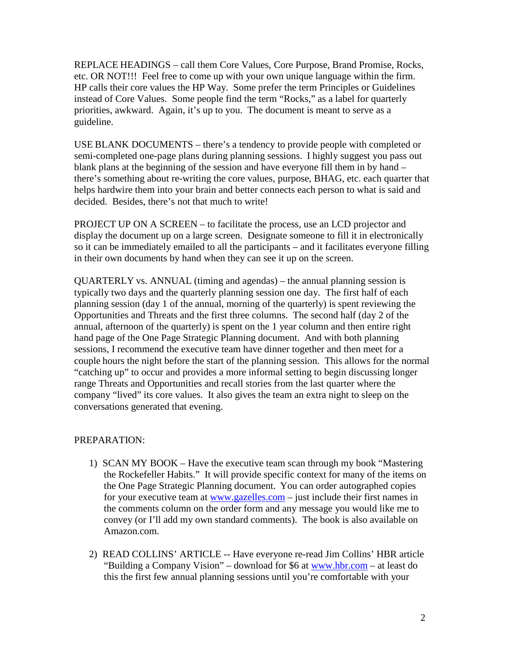REPLACE HEADINGS – call them Core Values, Core Purpose, Brand Promise, Rocks, etc. OR NOT!!! Feel free to come up with your own unique language within the firm. HP calls their core values the HP Way. Some prefer the term Principles or Guidelines instead of Core Values. Some people find the term "Rocks," as a label for quarterly priorities, awkward. Again, it's up to you. The document is meant to serve as a guideline.

USE BLANK DOCUMENTS – there's a tendency to provide people with completed or semi-completed one-page plans during planning sessions. I highly suggest you pass out blank plans at the beginning of the session and have everyone fill them in by hand – there's something about re-writing the core values, purpose, BHAG, etc. each quarter that helps hardwire them into your brain and better connects each person to what is said and decided. Besides, there's not that much to write!

PROJECT UP ON A SCREEN – to facilitate the process, use an LCD projector and display the document up on a large screen. Designate someone to fill it in electronically so it can be immediately emailed to all the participants – and it facilitates everyone filling in their own documents by hand when they can see it up on the screen.

QUARTERLY vs. ANNUAL (timing and agendas) – the annual planning session is typically two days and the quarterly planning session one day. The first half of each planning session (day 1 of the annual, morning of the quarterly) is spent reviewing the Opportunities and Threats and the first three columns. The second half (day 2 of the annual, afternoon of the quarterly) is spent on the 1 year column and then entire right hand page of the One Page Strategic Planning document. And with both planning sessions, I recommend the executive team have dinner together and then meet for a couple hours the night before the start of the planning session. This allows for the normal "catching up" to occur and provides a more informal setting to begin discussing longer range Threats and Opportunities and recall stories from the last quarter where the company "lived" its core values. It also gives the team an extra night to sleep on the conversations generated that evening.

### PREPARATION:

- 1) SCAN MY BOOK Have the executive team scan through my book "Mastering the Rockefeller Habits." It will provide specific context for many of the items on the One Page Strategic Planning document. You can order autographed copies for your executive team at [www.gazelles.com](http://www.gazelles.com/) – just include their first names in the comments column on the order form and any message you would like me to convey (or I'll add my own standard comments). The book is also available on Amazon.com.
- 2) READ COLLINS' ARTICLE -- Have everyone re-read Jim Collins' HBR article "Building a Company Vision" – download for \$6 at [www.hbr.com](http://www.hbr.com/) – at least do this the first few annual planning sessions until you're comfortable with your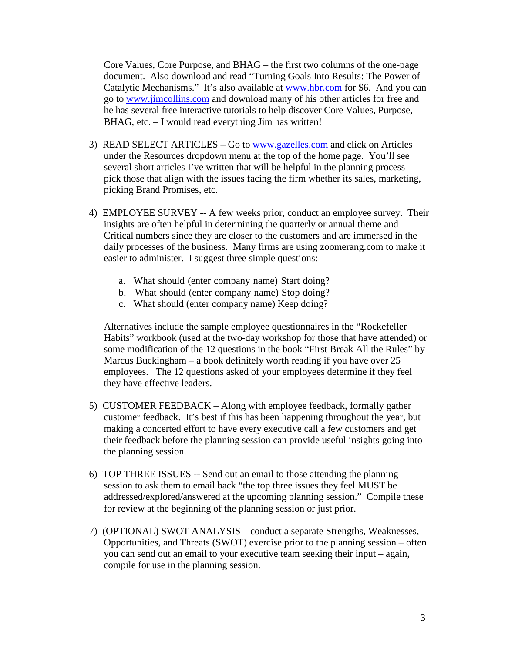Core Values, Core Purpose, and BHAG – the first two columns of the one-page document. Also download and read "Turning Goals Into Results: The Power of Catalytic Mechanisms." It's also available at [www.hbr.com](http://www.hbr.com/) for \$6. And you can go to [www.jimcollins.com](http://www.jimcollins.com/) and download many of his other articles for free and he has several free interactive tutorials to help discover Core Values, Purpose, BHAG, etc. – I would read everything Jim has written!

- 3) READ SELECT ARTICLES Go to [www.gazelles.com](http://www.gazelles.com/) and click on Articles under the Resources dropdown menu at the top of the home page. You'll see several short articles I've written that will be helpful in the planning process – pick those that align with the issues facing the firm whether its sales, marketing, picking Brand Promises, etc.
- 4) EMPLOYEE SURVEY -- A few weeks prior, conduct an employee survey. Their insights are often helpful in determining the quarterly or annual theme and Critical numbers since they are closer to the customers and are immersed in the daily processes of the business. Many firms are using zoomerang.com to make it easier to administer. I suggest three simple questions:
	- a. What should (enter company name) Start doing?
	- b. What should (enter company name) Stop doing?
	- c. What should (enter company name) Keep doing?

Alternatives include the sample employee questionnaires in the "Rockefeller Habits" workbook (used at the two-day workshop for those that have attended) or some modification of the 12 questions in the book "First Break All the Rules" by Marcus Buckingham – a book definitely worth reading if you have over 25 employees. The 12 questions asked of your employees determine if they feel they have effective leaders.

- 5) CUSTOMER FEEDBACK Along with employee feedback, formally gather customer feedback. It's best if this has been happening throughout the year, but making a concerted effort to have every executive call a few customers and get their feedback before the planning session can provide useful insights going into the planning session.
- 6) TOP THREE ISSUES -- Send out an email to those attending the planning session to ask them to email back "the top three issues they feel MUST be addressed/explored/answered at the upcoming planning session." Compile these for review at the beginning of the planning session or just prior.
- 7) (OPTIONAL) SWOT ANALYSIS conduct a separate Strengths, Weaknesses, Opportunities, and Threats (SWOT) exercise prior to the planning session – often you can send out an email to your executive team seeking their input – again, compile for use in the planning session.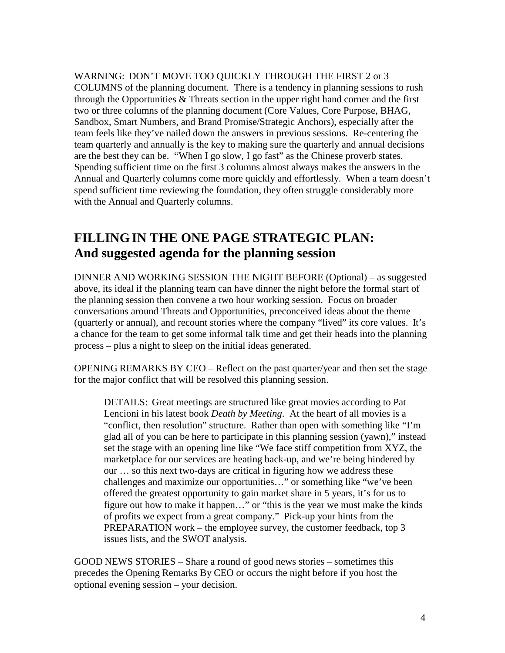WARNING: DON'T MOVE TOO QUICKLY THROUGH THE FIRST 2 or 3 COLUMNS of the planning document. There is a tendency in planning sessions to rush through the Opportunities  $&$  Threats section in the upper right hand corner and the first two or three columns of the planning document (Core Values, Core Purpose, BHAG, Sandbox, Smart Numbers, and Brand Promise/Strategic Anchors), especially after the team feels like they've nailed down the answers in previous sessions. Re-centering the team quarterly and annually is the key to making sure the quarterly and annual decisions are the best they can be. "When I go slow, I go fast" as the Chinese proverb states. Spending sufficient time on the first 3 columns almost always makes the answers in the Annual and Quarterly columns come more quickly and effortlessly. When a team doesn't spend sufficient time reviewing the foundation, they often struggle considerably more with the Annual and Quarterly columns.

# **FILLINGIN THE ONE PAGE STRATEGIC PLAN: And suggested agenda for the planning session**

DINNER AND WORKING SESSION THE NIGHT BEFORE (Optional) – as suggested above, its ideal if the planning team can have dinner the night before the formal start of the planning session then convene a two hour working session. Focus on broader conversations around Threats and Opportunities, preconceived ideas about the theme (quarterly or annual), and recount stories where the company "lived" its core values. It's a chance for the team to get some informal talk time and get their heads into the planning process – plus a night to sleep on the initial ideas generated.

OPENING REMARKS BY CEO – Reflect on the past quarter/year and then set the stage for the major conflict that will be resolved this planning session.

DETAILS: Great meetings are structured like great movies according to Pat Lencioni in his latest book *Death by Meeting*. At the heart of all movies is a "conflict, then resolution" structure. Rather than open with something like "I'm glad all of you can be here to participate in this planning session (yawn)," instead set the stage with an opening line like "We face stiff competition from XYZ, the marketplace for our services are heating back-up, and we're being hindered by our … so this next two-days are critical in figuring how we address these challenges and maximize our opportunities…" or something like "we've been offered the greatest opportunity to gain market share in 5 years, it's for us to figure out how to make it happen…" or "this is the year we must make the kinds of profits we expect from a great company." Pick-up your hints from the PREPARATION work – the employee survey, the customer feedback, top 3 issues lists, and the SWOT analysis.

GOOD NEWS STORIES – Share a round of good news stories – sometimes this precedes the Opening Remarks By CEO or occurs the night before if you host the optional evening session – your decision.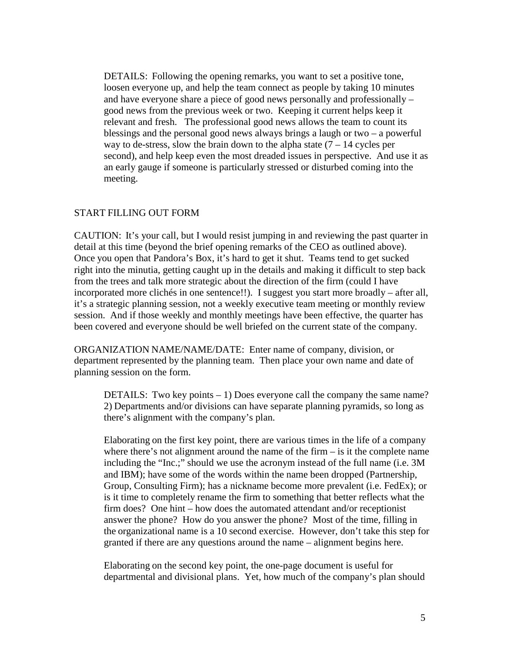DETAILS: Following the opening remarks, you want to set a positive tone, loosen everyone up, and help the team connect as people by taking 10 minutes and have everyone share a piece of good news personally and professionally – good news from the previous week or two. Keeping it current helps keep it relevant and fresh. The professional good news allows the team to count its blessings and the personal good news always brings a laugh or two – a powerful way to de-stress, slow the brain down to the alpha state  $(7 - 14)$  cycles per second), and help keep even the most dreaded issues in perspective. And use it as an early gauge if someone is particularly stressed or disturbed coming into the meeting.

#### START FILLING OUT FORM

CAUTION: It's your call, but I would resist jumping in and reviewing the past quarter in detail at this time (beyond the brief opening remarks of the CEO as outlined above). Once you open that Pandora's Box, it's hard to get it shut. Teams tend to get sucked right into the minutia, getting caught up in the details and making it difficult to step back from the trees and talk more strategic about the direction of the firm (could I have incorporated more clichés in one sentence!!). I suggest you start more broadly – after all, it's a strategic planning session, not a weekly executive team meeting or monthly review session. And if those weekly and monthly meetings have been effective, the quarter has been covered and everyone should be well briefed on the current state of the company.

ORGANIZATION NAME/NAME/DATE: Enter name of company, division, or department represented by the planning team. Then place your own name and date of planning session on the form.

DETAILS: Two key points  $-1$ ) Does everyone call the company the same name? 2) Departments and/or divisions can have separate planning pyramids, so long as there's alignment with the company's plan.

Elaborating on the first key point, there are various times in the life of a company where there's not alignment around the name of the firm  $-$  is it the complete name including the "Inc.;" should we use the acronym instead of the full name (i.e. 3M and IBM); have some of the words within the name been dropped (Partnership, Group, Consulting Firm); has a nickname become more prevalent (i.e. FedEx); or is it time to completely rename the firm to something that better reflects what the firm does? One hint – how does the automated attendant and/or receptionist answer the phone? How do you answer the phone? Most of the time, filling in the organizational name is a 10 second exercise. However, don't take this step for granted if there are any questions around the name – alignment begins here.

Elaborating on the second key point, the one-page document is useful for departmental and divisional plans. Yet, how much of the company's plan should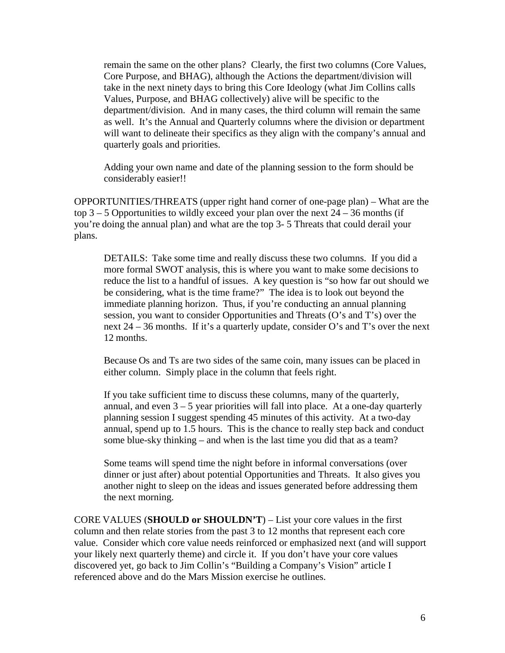remain the same on the other plans? Clearly, the first two columns (Core Values, Core Purpose, and BHAG), although the Actions the department/division will take in the next ninety days to bring this Core Ideology (what Jim Collins calls Values, Purpose, and BHAG collectively) alive will be specific to the department/division. And in many cases, the third column will remain the same as well. It's the Annual and Quarterly columns where the division or department will want to delineate their specifics as they align with the company's annual and quarterly goals and priorities.

Adding your own name and date of the planning session to the form should be considerably easier!!

OPPORTUNITIES/THREATS (upper right hand corner of one-page plan) – What are the top  $3 - 5$  Opportunities to wildly exceed your plan over the next  $24 - 36$  months (if you're doing the annual plan) and what are the top 3- 5 Threats that could derail your plans.

DETAILS: Take some time and really discuss these two columns. If you did a more formal SWOT analysis, this is where you want to make some decisions to reduce the list to a handful of issues. A key question is "so how far out should we be considering, what is the time frame?" The idea is to look out beyond the immediate planning horizon. Thus, if you're conducting an annual planning session, you want to consider Opportunities and Threats (O's and T's) over the next 24 – 36 months. If it's a quarterly update, consider O's and T's over the next 12 months.

Because Os and Ts are two sides of the same coin, many issues can be placed in either column. Simply place in the column that feels right.

If you take sufficient time to discuss these columns, many of the quarterly, annual, and even  $3 - 5$  year priorities will fall into place. At a one-day quarterly planning session I suggest spending 45 minutes of this activity. At a two-day annual, spend up to 1.5 hours. This is the chance to really step back and conduct some blue-sky thinking – and when is the last time you did that as a team?

Some teams will spend time the night before in informal conversations (over dinner or just after) about potential Opportunities and Threats. It also gives you another night to sleep on the ideas and issues generated before addressing them the next morning.

CORE VALUES (**SHOULD or SHOULDN'T**) – List your core values in the first column and then relate stories from the past 3 to 12 months that represent each core value. Consider which core value needs reinforced or emphasized next (and will support your likely next quarterly theme) and circle it. If you don't have your core values discovered yet, go back to Jim Collin's "Building a Company's Vision" article I referenced above and do the Mars Mission exercise he outlines.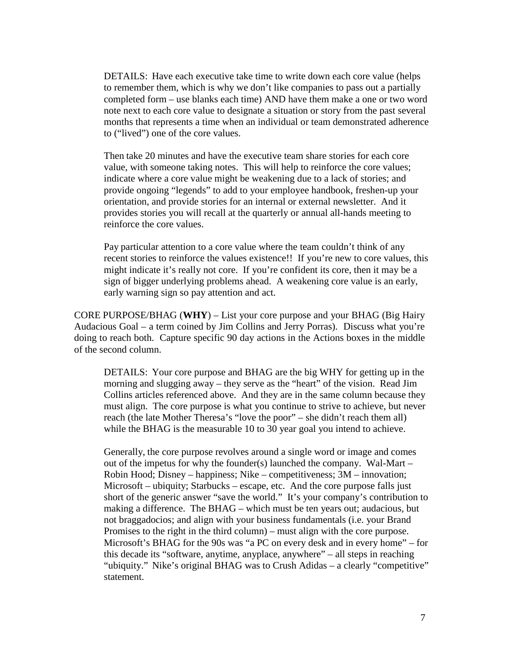DETAILS: Have each executive take time to write down each core value (helps to remember them, which is why we don't like companies to pass out a partially completed form – use blanks each time) AND have them make a one or two word note next to each core value to designate a situation or story from the past several months that represents a time when an individual or team demonstrated adherence to ("lived") one of the core values.

Then take 20 minutes and have the executive team share stories for each core value, with someone taking notes. This will help to reinforce the core values; indicate where a core value might be weakening due to a lack of stories; and provide ongoing "legends" to add to your employee handbook, freshen-up your orientation, and provide stories for an internal or external newsletter. And it provides stories you will recall at the quarterly or annual all-hands meeting to reinforce the core values.

Pay particular attention to a core value where the team couldn't think of any recent stories to reinforce the values existence!! If you're new to core values, this might indicate it's really not core. If you're confident its core, then it may be a sign of bigger underlying problems ahead. A weakening core value is an early, early warning sign so pay attention and act.

CORE PURPOSE/BHAG (**WHY**) – List your core purpose and your BHAG (Big Hairy Audacious Goal – a term coined by Jim Collins and Jerry Porras). Discuss what you're doing to reach both. Capture specific 90 day actions in the Actions boxes in the middle of the second column.

DETAILS: Your core purpose and BHAG are the big WHY for getting up in the morning and slugging away – they serve as the "heart" of the vision. Read Jim Collins articles referenced above. And they are in the same column because they must align. The core purpose is what you continue to strive to achieve, but never reach (the late Mother Theresa's "love the poor" – she didn't reach them all) while the BHAG is the measurable 10 to 30 year goal you intend to achieve.

Generally, the core purpose revolves around a single word or image and comes out of the impetus for why the founder(s) launched the company. Wal-Mart – Robin Hood; Disney – happiness; Nike – competitiveness; 3M – innovation; Microsoft – ubiquity; Starbucks – escape, etc. And the core purpose falls just short of the generic answer "save the world." It's your company's contribution to making a difference. The BHAG – which must be ten years out; audacious, but not braggadocios; and align with your business fundamentals (i.e. your Brand Promises to the right in the third column) – must align with the core purpose. Microsoft's BHAG for the 90s was "a PC on every desk and in every home" – for this decade its "software, anytime, anyplace, anywhere" – all steps in reaching "ubiquity." Nike's original BHAG was to Crush Adidas – a clearly "competitive" statement.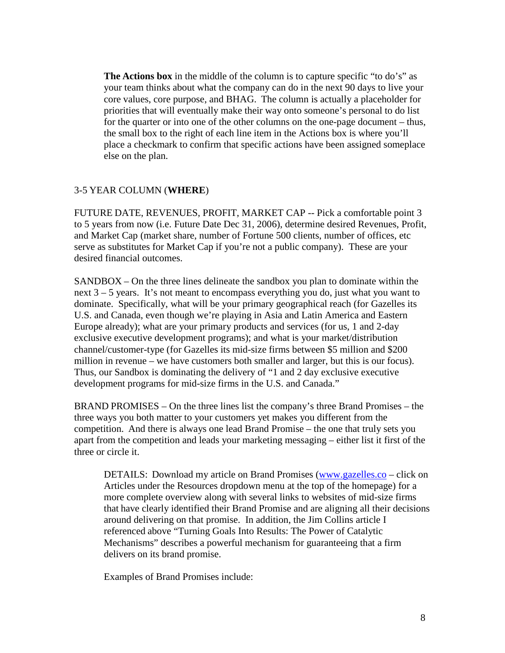**The Actions box** in the middle of the column is to capture specific "to do's" as your team thinks about what the company can do in the next 90 days to live your core values, core purpose, and BHAG. The column is actually a placeholder for priorities that will eventually make their way onto someone's personal to do list for the quarter or into one of the other columns on the one-page document – thus, the small box to the right of each line item in the Actions box is where you'll place a checkmark to confirm that specific actions have been assigned someplace else on the plan.

#### 3-5 YEAR COLUMN (**WHERE**)

FUTURE DATE, REVENUES, PROFIT, MARKET CAP -- Pick a comfortable point 3 to 5 years from now (i.e. Future Date Dec 31, 2006), determine desired Revenues, Profit, and Market Cap (market share, number of Fortune 500 clients, number of offices, etc serve as substitutes for Market Cap if you're not a public company). These are your desired financial outcomes.

SANDBOX – On the three lines delineate the sandbox you plan to dominate within the next 3 – 5 years. It's not meant to encompass everything you do, just what you want to dominate. Specifically, what will be your primary geographical reach (for Gazelles its U.S. and Canada, even though we're playing in Asia and Latin America and Eastern Europe already); what are your primary products and services (for us, 1 and 2-day exclusive executive development programs); and what is your market/distribution channel/customer-type (for Gazelles its mid-size firms between \$5 million and \$200 million in revenue – we have customers both smaller and larger, but this is our focus). Thus, our Sandbox is dominating the delivery of "1 and 2 day exclusive executive development programs for mid-size firms in the U.S. and Canada."

BRAND PROMISES – On the three lines list the company's three Brand Promises – the three ways you both matter to your customers yet makes you different from the competition. And there is always one lead Brand Promise – the one that truly sets you apart from the competition and leads your marketing messaging – either list it first of the three or circle it.

DETAILS: Download my article on Brand Pro[mises \(www.gazelles.co](http://www.gazelles.com/) – click on Articles under the Resources dropdown menu at the top of the homepage) for a more complete overview along with several links to websites of mid-size firms that have clearly identified their Brand Promise and are aligning all their decisions around delivering on that promise. In addition, the Jim Collins article I referenced above "Turning Goals Into Results: The Power of Catalytic Mechanisms" describes a powerful mechanism for guaranteeing that a firm delivers on its brand promise.

Examples of Brand Promises include: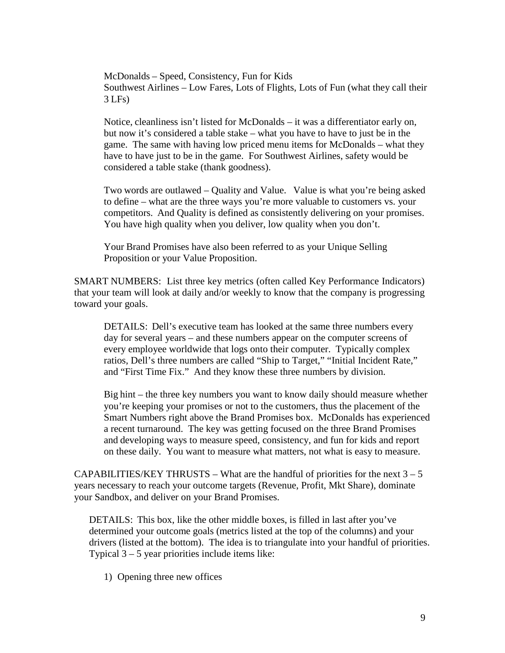McDonalds – Speed, Consistency, Fun for Kids Southwest Airlines – Low Fares, Lots of Flights, Lots of Fun (what they call their 3 LFs)

Notice, cleanliness isn't listed for McDonalds – it was a differentiator early on, but now it's considered a table stake – what you have to have to just be in the game. The same with having low priced menu items for McDonalds – what they have to have just to be in the game. For Southwest Airlines, safety would be considered a table stake (thank goodness).

Two words are outlawed – Quality and Value. Value is what you're being asked to define – what are the three ways you're more valuable to customers vs. your competitors. And Quality is defined as consistently delivering on your promises. You have high quality when you deliver, low quality when you don't.

Your Brand Promises have also been referred to as your Unique Selling Proposition or your Value Proposition.

SMART NUMBERS: List three key metrics (often called Key Performance Indicators) that your team will look at daily and/or weekly to know that the company is progressing toward your goals.

DETAILS: Dell's executive team has looked at the same three numbers every day for several years – and these numbers appear on the computer screens of every employee worldwide that logs onto their computer. Typically complex ratios, Dell's three numbers are called "Ship to Target," "Initial Incident Rate," and "First Time Fix." And they know these three numbers by division.

Big hint – the three key numbers you want to know daily should measure whether you're keeping your promises or not to the customers, thus the placement of the Smart Numbers right above the Brand Promises box. McDonalds has experienced a recent turnaround. The key was getting focused on the three Brand Promises and developing ways to measure speed, consistency, and fun for kids and report on these daily. You want to measure what matters, not what is easy to measure.

CAPABILITIES/KEY THRUSTS – What are the handful of priorities for the next  $3 - 5$ years necessary to reach your outcome targets (Revenue, Profit, Mkt Share), dominate your Sandbox, and deliver on your Brand Promises.

DETAILS: This box, like the other middle boxes, is filled in last after you've determined your outcome goals (metrics listed at the top of the columns) and your drivers (listed at the bottom). The idea is to triangulate into your handful of priorities. Typical  $3 - 5$  year priorities include items like:

1) Opening three new offices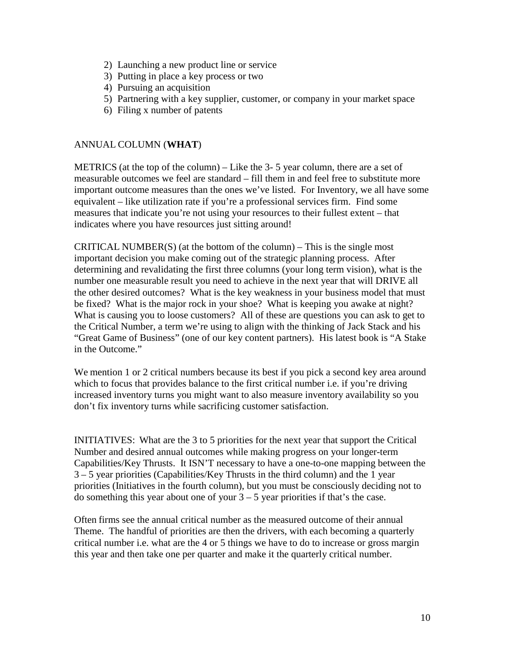- 2) Launching a new product line or service
- 3) Putting in place a key process or two
- 4) Pursuing an acquisition
- 5) Partnering with a key supplier, customer, or company in your market space
- 6) Filing x number of patents

### ANNUAL COLUMN (**WHAT**)

METRICS (at the top of the column) – Like the 3- 5 year column, there are a set of measurable outcomes we feel are standard – fill them in and feel free to substitute more important outcome measures than the ones we've listed. For Inventory, we all have some equivalent – like utilization rate if you're a professional services firm. Find some measures that indicate you're not using your resources to their fullest extent – that indicates where you have resources just sitting around!

CRITICAL NUMBER(S) (at the bottom of the column) – This is the single most important decision you make coming out of the strategic planning process. After determining and revalidating the first three columns (your long term vision), what is the number one measurable result you need to achieve in the next year that will DRIVE all the other desired outcomes? What is the key weakness in your business model that must be fixed? What is the major rock in your shoe? What is keeping you awake at night? What is causing you to loose customers? All of these are questions you can ask to get to the Critical Number, a term we're using to align with the thinking of Jack Stack and his "Great Game of Business" (one of our key content partners). His latest book is "A Stake in the Outcome."

We mention 1 or 2 critical numbers because its best if you pick a second key area around which to focus that provides balance to the first critical number i.e. if you're driving increased inventory turns you might want to also measure inventory availability so you don't fix inventory turns while sacrificing customer satisfaction.

INITIATIVES: What are the 3 to 5 priorities for the next year that support the Critical Number and desired annual outcomes while making progress on your longer-term Capabilities/Key Thrusts. It ISN'T necessary to have a one-to-one mapping between the 3 – 5 year priorities (Capabilities/Key Thrusts in the third column) and the 1 year priorities (Initiatives in the fourth column), but you must be consciously deciding not to do something this year about one of your  $3 - 5$  year priorities if that's the case.

Often firms see the annual critical number as the measured outcome of their annual Theme. The handful of priorities are then the drivers, with each becoming a quarterly critical number i.e. what are the 4 or 5 things we have to do to increase or gross margin this year and then take one per quarter and make it the quarterly critical number.